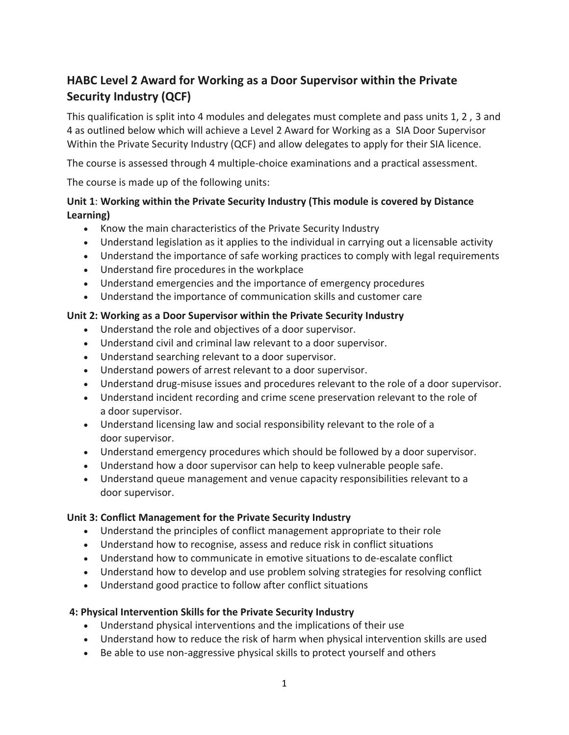# **HABC Level 2 Award for Working as a Door Supervisor within the Private Security Industry (QCF)**

This qualification is split into 4 modules and delegates must complete and pass units 1, 2 , 3 and 4 as outlined below which will achieve a Level 2 Award for Working as a SIA Door Supervisor Within the Private Security Industry (QCF) and allow delegates to apply for their SIA licence.

The course is assessed through 4 multiple-choice examinations and a practical assessment.

The course is made up of the following units:

# **Unit 1**: **Working within the Private Security Industry (This module is covered by Distance Learning)**

- Know the main characteristics of the Private Security Industry
- Understand legislation as it applies to the individual in carrying out a licensable activity
- Understand the importance of safe working practices to comply with legal requirements
- Understand fire procedures in the workplace
- Understand emergencies and the importance of emergency procedures
- Understand the importance of communication skills and customer care

# **Unit 2: Working as a Door Supervisor within the Private Security Industry**

- Understand the role and objectives of a door supervisor.
- Understand civil and criminal law relevant to a door supervisor.
- Understand searching relevant to a door supervisor.
- Understand powers of arrest relevant to a door supervisor.
- Understand drug-misuse issues and procedures relevant to the role of a door supervisor.
- Understand incident recording and crime scene preservation relevant to the role of a door supervisor.
- Understand licensing law and social responsibility relevant to the role of a door supervisor.
- Understand emergency procedures which should be followed by a door supervisor.
- Understand how a door supervisor can help to keep vulnerable people safe.
- Understand queue management and venue capacity responsibilities relevant to a door supervisor.

### **Unit 3: Conflict Management for the Private Security Industry**

- Understand the principles of conflict management appropriate to their role
- Understand how to recognise, assess and reduce risk in conflict situations
- Understand how to communicate in emotive situations to de-escalate conflict
- Understand how to develop and use problem solving strategies for resolving conflict
- Understand good practice to follow after conflict situations

### **4: Physical Intervention Skills for the Private Security Industry**

- Understand physical interventions and the implications of their use
- Understand how to reduce the risk of harm when physical intervention skills are used
- Be able to use non-aggressive physical skills to protect yourself and others